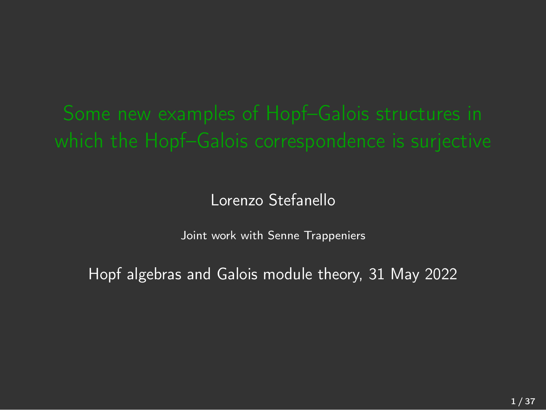### Lorenzo Stefanello

Joint work with Senne Trappeniers

Hopf algebras and Galois module theory, 31 May 2022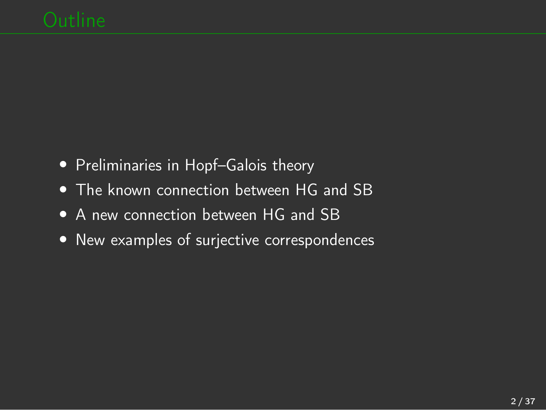- *•* Preliminaries in Hopf–Galois theory
- *•* The known connection between HG and SB
- *•* A new connection between HG and SB
- *•* New examples of surjective correspondences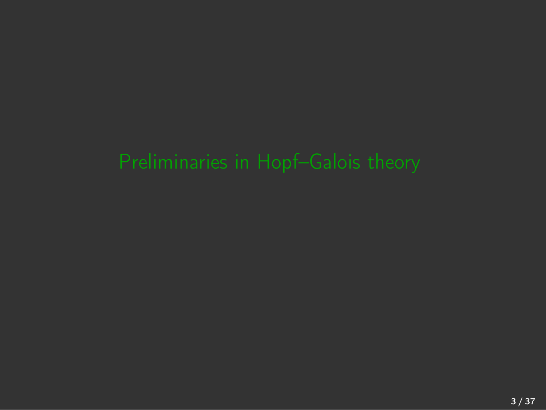<span id="page-2-0"></span>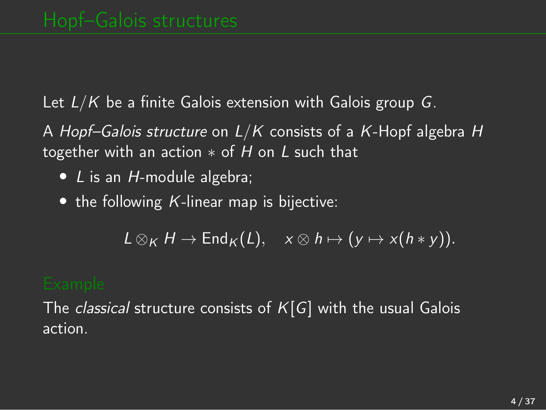Let *L/K* be a finite Galois extension with Galois group *G*.

A *Hopf–Galois structure* on *L/K* consists of a *K*-Hopf algebra *H* together with an action ∗ of *H* on *L* such that

- *• L* is an *H*-module algebra;
- *•* the following *K*-linear map is bijective:

 $L \otimes_K H \to \text{End}_K(L)$ ,  $x \otimes h \mapsto (y \mapsto x(h * y))$ .

The *classical* structure consists of *K*[*G*] with the usual Galois action.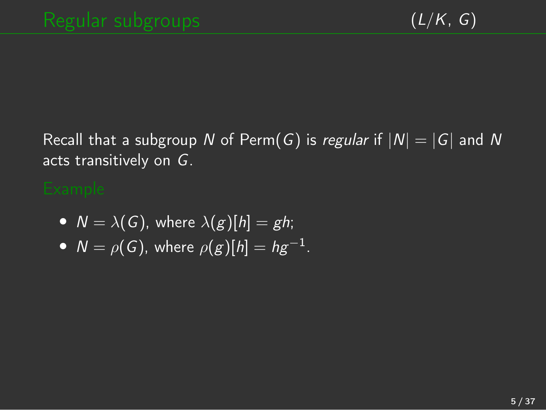Recall that a subgroup *N* of Perm(*G*) is *regular* if  $|N| = |G|$  and *N* acts transitively on *G*.

- $N = \lambda(G)$ , where  $\lambda(g)[h] = gh$ ;
- $N = \rho(G)$ , where  $\rho(g)[h] = hg^{-1}$ .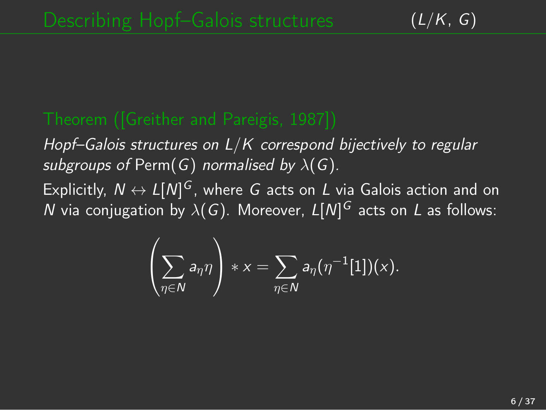*Hopf–Galois structures on L/K correspond bijectively to regular subgroups of* Perm(*G*) *normalised by*  $\lambda$ (*G*)*.* 

Explicitly,  $N \leftrightarrow L[N]^G$ , where *G* acts on *L* via Galois action and on *N* via conjugation by  $\lambda(G)$ . Moreover,  $L[N]^G$  acts on *L* as follows:

$$
\left(\sum_{\eta\in N}a_\eta\eta\right)*x=\sum_{\eta\in N}a_\eta(\eta^{-1}[1])(x).
$$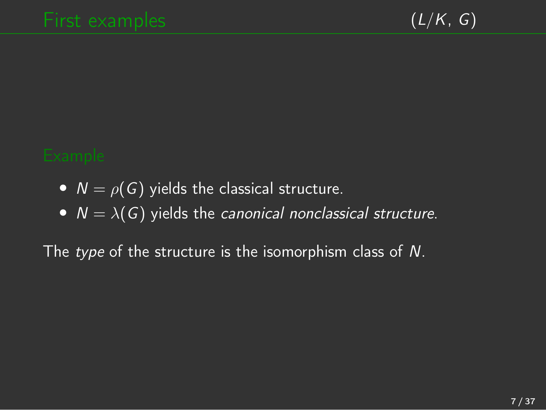- $N = \rho(G)$  yields the classical structure.
- $N = \lambda(G)$  yields the *canonical nonclassical structure*.

The *type* of the structure is the isomorphism class of *N*.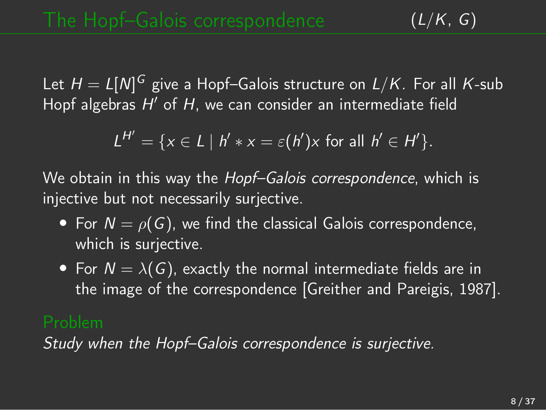Let *H* = *L*[*N*] *<sup>G</sup>* give a Hopf–Galois structure on *L/K*. For all *K*-sub Hopf algebras *H*′ of *H*, we can consider an intermediate field

$$
L^{H'} = \{x \in L \mid h' * x = \varepsilon(h')x \text{ for all } h' \in H'\}.
$$

We obtain in this way the *Hopf–Galois correspondence*, which is injective but not necessarily surjective.

- For  $N = \rho(G)$ , we find the classical Galois correspondence, which is surjective.
- For  $N = \lambda(G)$ , exactly the normal intermediate fields are in the image of the correspondence [Greither and [Pareigis,](#page-34-0) 1987].

*Study when the Hopf–Galois correspondence is surjective.*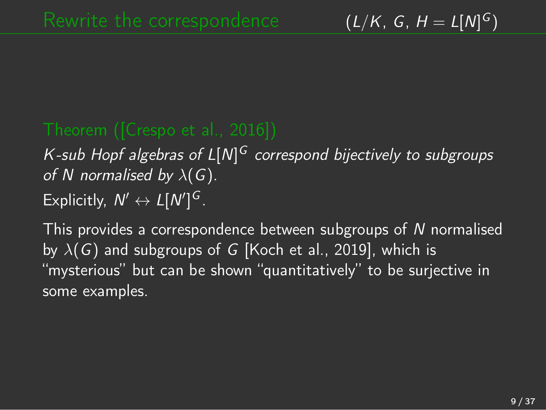## *K-sub Hopf algebras of L*[*N*] *<sup>G</sup> correspond bijectively to subgroups of N normalised by*  $\lambda(G)$ *.* Explicitly,  $N' \leftrightarrow L[N']^G$ .

This provides a correspondence between subgroups of *N* normalised by λ(*G*) and subgroups of *G* [[Koch](#page-35-0) et al., 2019], which is "mysterious" but can be shown "quantitatively" to be surjective in some examples.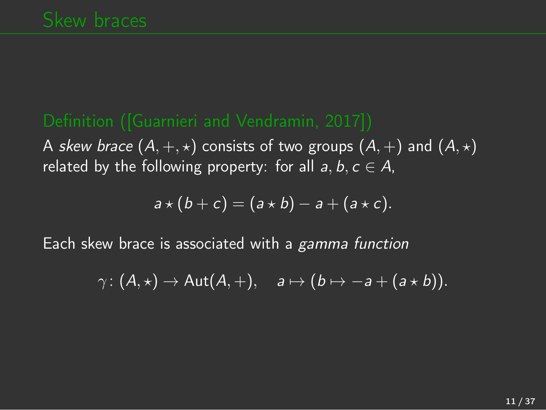A *skew brace*  $(A, +, \star)$  consists of two groups  $(A, +)$  and  $(A, \star)$ related by the following property: for all  $a, b, c \in A$ ,

$$
a\star (b+c)=(a\star b)-a+(a\star c).
$$

Each skew brace is associated with a *gamma function*

$$
\gamma\colon (A,\star)\to \mathsf {Aut}(A,+),\quad \mathsf a\mapsto (\mathsf b\mapsto -\mathsf a+(\mathsf a\star \mathsf b)).
$$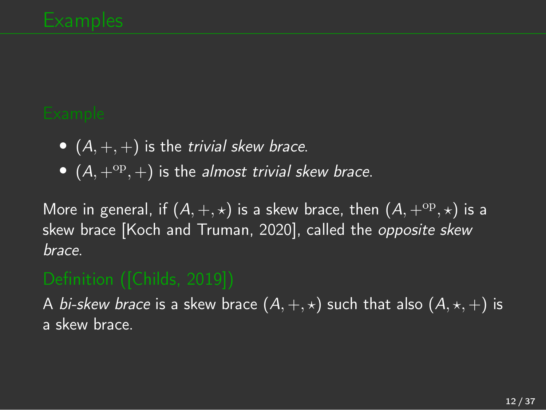- $(A, +, +)$  is the *trivial skew brace.*
- $(A, +^{op}, +)$  *is the almost trivial skew brace.*

More in general, if  $(A, +, \star)$  is a skew brace, then  $(A, +^{\text{op}}, \star)$  is a skew brace [Koch and [Truman,](#page-35-1) 2020], called the *opposite skew brace*.

A *bi-skew brace* is a skew brace  $(A, +, \star)$  such that also  $(A, \star, +)$  is a skew brace.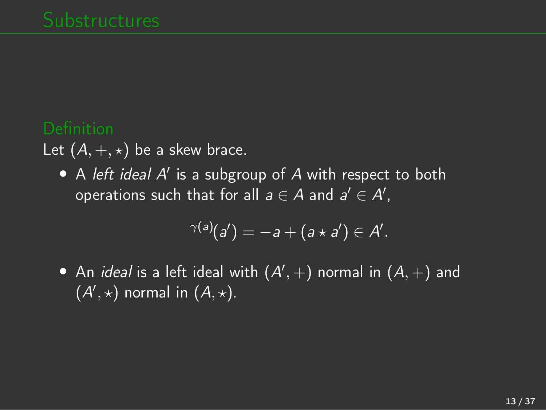Let  $(A, +, \star)$  be a skew brace.

*•* A *left ideal A*′ is a subgroup of *A* with respect to both operations such that for all  $a \in A$  and  $a' \in A'$ ,

$$
\gamma(a)(a')=-a+(a\star a')\in A'.
$$

 $\bullet$  An *ideal* is a left ideal with  $(A', +)$  normal in  $(A, +)$  and  $(A',\star)$  normal in  $(A,\star)$ .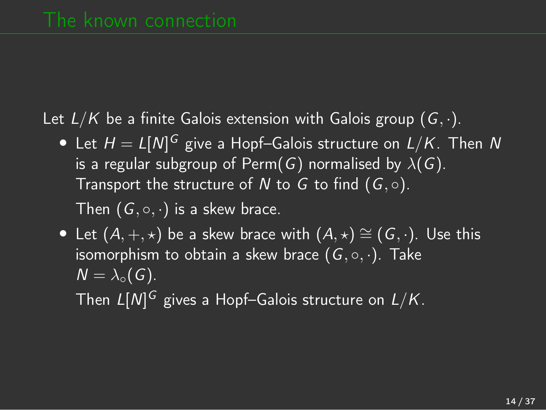Let *L/K* be a finite Galois extension with Galois group (*G, ·*).

- *•* Let *H* = *L*[*N*] *<sup>G</sup>* give a Hopf–Galois structure on *L/K*. Then *N* is a regular subgroup of Perm( $G$ ) normalised by  $\lambda(G)$ . Transport the structure of N to G to find  $(G, \circ)$ . Then  $(G, \circ, \cdot)$  is a skew brace.
- Let  $(A, +, \star)$  be a skew brace with  $(A, \star) \cong (G, \cdot)$ . Use this isomorphism to obtain a skew brace (*G,* ◦*, ·*). Take  $N = \lambda_0(G)$ .

Then *L*[*N*] *<sup>G</sup>* gives a Hopf–Galois structure on *L/K*.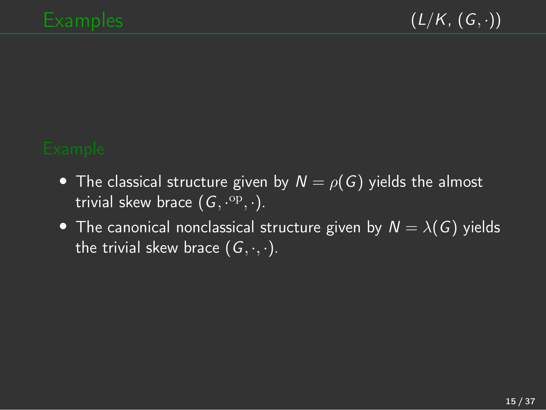- The classical structure given by  $N = \rho(G)$  yields the almost trivial skew brace  $(G, \cdot^{\text{op}}, \cdot)$ .
- The canonical nonclassical structure given by  $N = \lambda(G)$  yields the trivial skew brace  $(G, \cdot, \cdot)$ .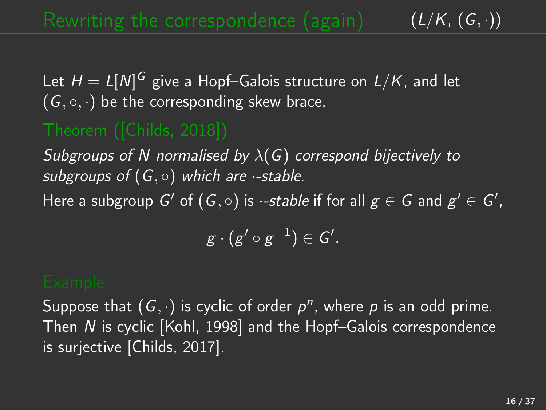$(L/K, (G, \cdot))$ 

Let  $H = L[M]^G$  give a Hopf–Galois structure on  $L/K$ , and let  $(G, \circ, \cdot)$  be the corresponding skew brace.

*Subgroups of N normalised by* λ(*G*) *correspond bijectively to subgroups of* (*G,* ◦) *which are ·-stable.*

Here a subgroup  $G'$  of  $(G, \circ)$  is *·-stable* if for all  $g \in G$  and  $g' \in G'$ ,

 $g \cdot (g' \circ g^{-1}) \in G'.$ 

Suppose that  $(G, \cdot)$  is cyclic of order  $p^n$ , where p is an odd prime. Then *N* is cyclic [\[Kohl,](#page-35-2) 1998] and the Hopf–Galois correspondence is surjective [[Childs,](#page-33-2) 2017].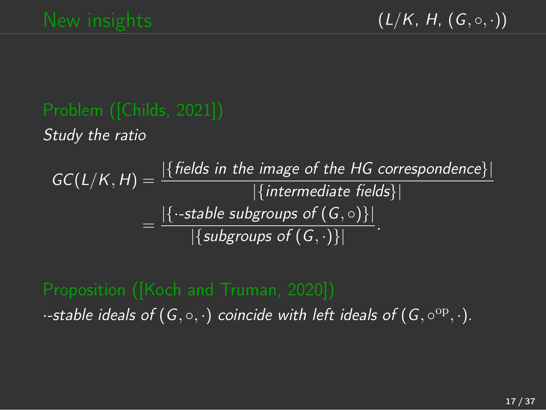$(L/K, H, (G, \circ, \cdot))$ 

*Study the ratio*

$$
GC(L/K, H) = \frac{|\{ \text{fields in the image of the HG correspondence} \}|}{|\{ \text{intermediate fields} \}|}
$$

$$
= \frac{|\{-stable subgroups of (G, \circ)\}|}{|\{subgroups of (G, \cdot)\}|}.
$$

 $\cdot$ -stable *ideals* of  $(G, \circ, \cdot)$  coincide with left ideals of  $(G, \circ^{op}, \cdot)$ *.*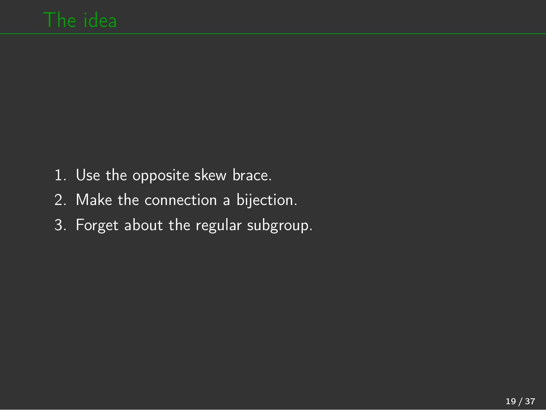- 1. Use the opposite skew brace.
- 2. Make the connection a bijection.
- 3. Forget about the regular subgroup.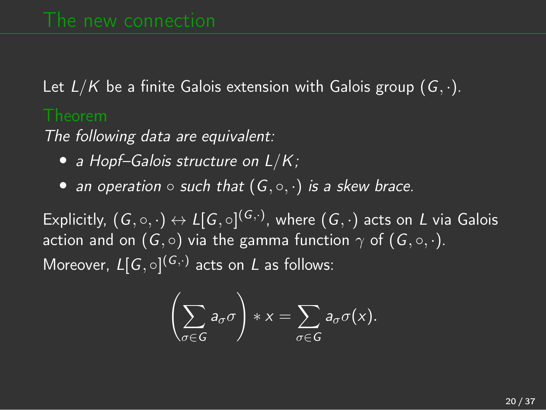Let *L/K* be a finite Galois extension with Galois group (*G, ·*).

*The following data are equivalent:*

- *• a Hopf–Galois structure on L/K;*
- *• an operation such that* (*G,* ◦*, ·*) *is a skew brace.*

Explicitly,  $(G, \circ, \cdot) \leftrightarrow L[G, \circ]^{(G, \cdot)}$ , where  $(G, \cdot)$  acts on *L* via Galois action and on  $(G, \circ)$  via the gamma function  $\gamma$  of  $(G, \circ, \cdot)$ . Moreover, *L*[*G,* ◦] (*G,·*) acts on *L* as follows:

$$
\left(\sum_{\sigma\in G}a_{\sigma}\sigma\right)*x=\sum_{\sigma\in G}a_{\sigma}\sigma(x).
$$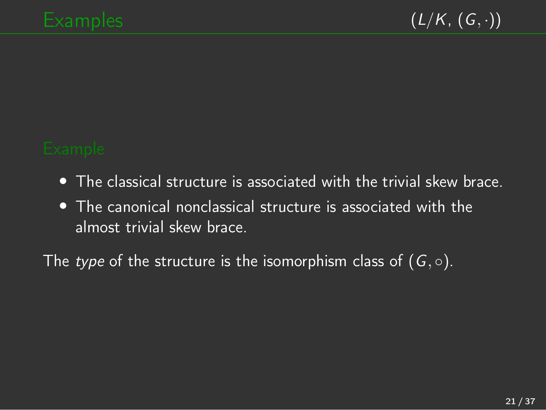- *•* The classical structure is associated with the trivial skew brace.
- *•* The canonical nonclassical structure is associated with the almost trivial skew brace.

The *type* of the structure is the isomorphism class of  $(G, \circ)$ .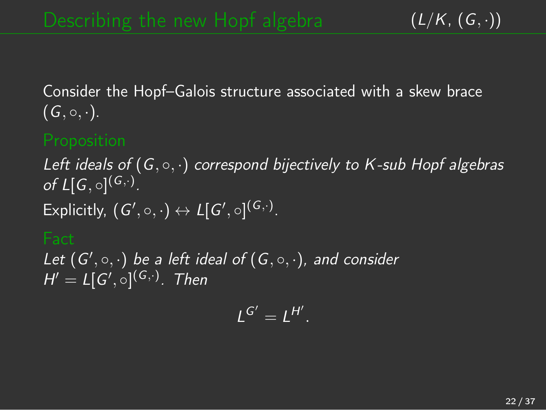Consider the Hopf–Galois structure associated with a skew brace  $(G, \circ, \cdot).$ 

*Left ideals of* (*G,* ◦*, ·*) *correspond bijectively to K-sub Hopf algebras of*  $L[G, \circ]^{(G, \cdot)}$ . Explicitly,  $(G', \circ, \cdot) \leftrightarrow L[G', \circ]^{(G, \cdot)}$ .

*Let* (*G*′ *,* ◦*, ·*) *be a left ideal of* (*G,* ◦*, ·*)*, and consider*  $H' = L[G', \circ]^{(G, \cdot)}$ . Then

$$
L^{G'}=L^{H'}.
$$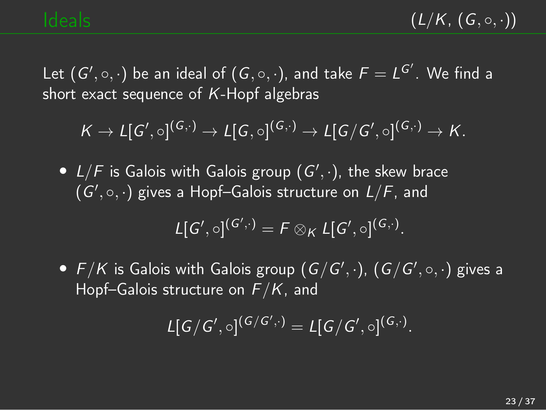$(L/K, (G, \circ, \cdot))$ 

Let  $(G', \circ, \cdot)$  be an ideal of  $(G, \circ, \cdot)$ , and take  $F = L^{G'}$ . We find a short exact sequence of *K*-Hopf algebras

$$
K \to L[G',\circ]^{(G,\cdot)} \to L[G,\circ]^{(G,\cdot)} \to L[G/G',\circ]^{(G,\cdot)} \to K.
$$

*• L/F* is Galois with Galois group (*G*′ *, ·*), the skew brace (*G*′ *,* ◦*, ·*) gives a Hopf–Galois structure on *L/F*, and

$$
L[G',\circ]^{(G',\cdot)}=F\otimes_K L[G',\circ]^{(G,\cdot)}.
$$

• *F/K* is Galois with Galois group  $(G/G', \cdot)$ ,  $(G/G', \circ, \cdot)$  gives a Hopf–Galois structure on *F/K*, and

$$
L[G/G',\circ]^{(G/G',\cdot)}=L[G/G',\circ]^{(G,\cdot)}.
$$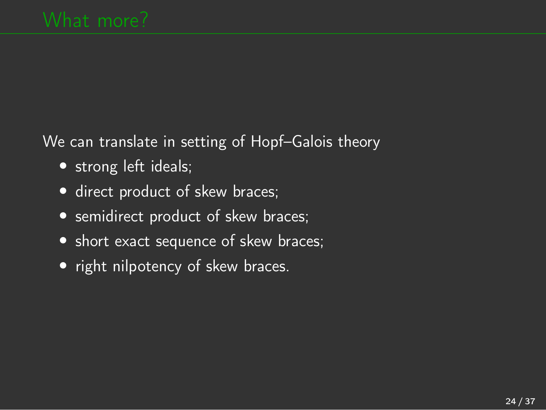We can translate in setting of Hopf–Galois theory

- strong left ideals;
- direct product of skew braces;
- *•* semidirect product of skew braces;
- *•* short exact sequence of skew braces;
- right nilpotency of skew braces.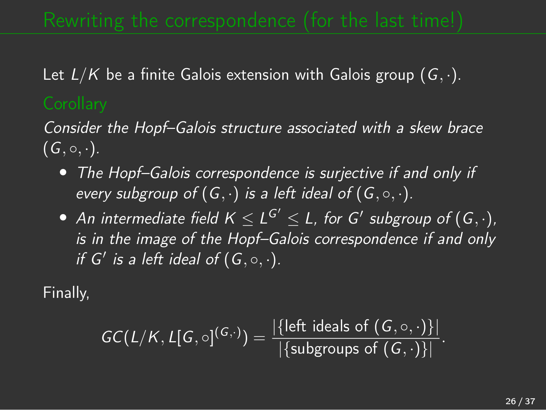Let *L/K* be a finite Galois extension with Galois group (*G, ·*).

*Consider the Hopf–Galois structure associated with a skew brace*  $(G, \circ, \cdot).$ 

- *• The Hopf–Galois correspondence is surjective if and only if every subgroup of*  $(G, \cdot)$  *is a left ideal of*  $(G, \circ, \cdot)$ *.*
- *• An* intermediate field  $K \le L^{G'} \le L$ , for *G*<sup>′</sup> subgroup of  $(G, \cdot)$ *, is in the image of the Hopf–Galois correspondence if and only if*  $G'$  *is* a *left ideal of*  $(G, \circ, \cdot)$ *.*

Finally,

$$
GC(L/K, L[G, \circ]^{(G, \cdot)}) = \frac{|\{\text{left ideals of } (G, \circ, \cdot)\}|}{|\{\text{subgroups of } (G, \cdot)\}|}.
$$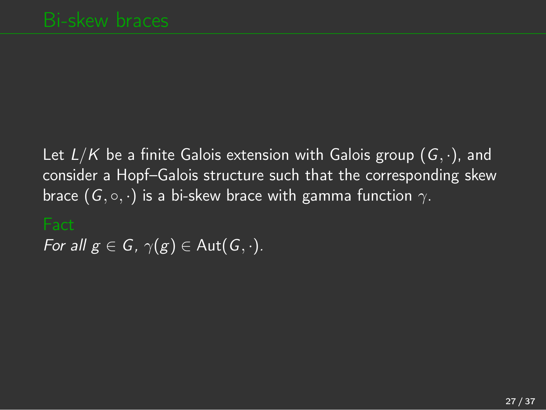Let *L/K* be a finite Galois extension with Galois group (*G, ·*), and consider a Hopf–Galois structure such that the corresponding skew brace  $(G, \circ, \cdot)$  is a bi-skew brace with gamma function  $\gamma$ .

*For all*  $g \in G$ *,*  $\gamma(g) \in \text{Aut}(G, \cdot)$ *.*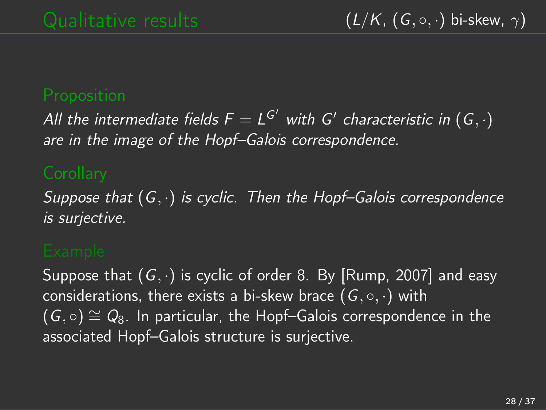*All* the intermediate fields  $F = L^{G'}$  with  $G'$  characteristic in  $(G, \cdot)$ *are in the image of the Hopf–Galois correspondence.*

*Suppose that* (*G, ·*) *is cyclic. Then the Hopf–Galois correspondence is surjective.*

Suppose that (*G, ·*) is cyclic of order 8. By [[Rump,](#page-36-0) 2007] and easy considerations, there exists a bi-skew brace (*G,* ◦*, ·*) with  $(G, \circ) \cong Q_8$ . In particular, the Hopf–Galois correspondence in the associated Hopf–Galois structure is surjective.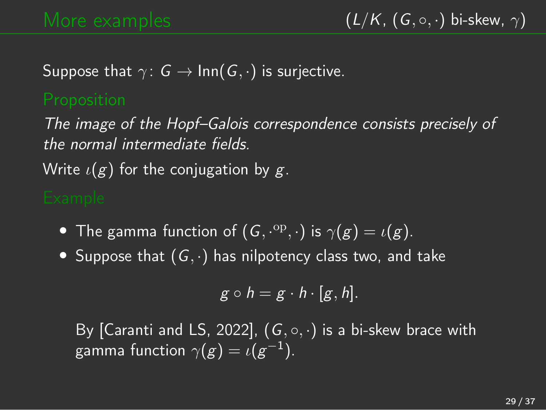Suppose that  $\gamma: G \to \text{Inn}(G, \cdot)$  is surjective.

*The image of the Hopf–Galois correspondence consists precisely of the normal intermediate fields.*

Write ι(*g*) for the conjugation by *g*.

- **•** The gamma function of  $(G, \cdot^{\text{op}}, \cdot)$  is  $\gamma(g) = \iota(g)$ .
- *•* Suppose that (*G, ·*) has nilpotency class two, and take

$$
g\circ h=g\cdot h\cdot [g,h].
$$

By [\[Caranti](#page-33-3) and LS, 2022],  $(G, \circ, \cdot)$  is a bi-skew brace with gamma function  $\gamma(g) = \iota(g^{-1})$ .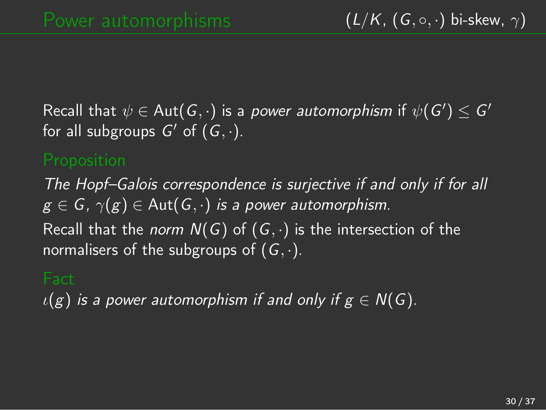${\sf Recall\ that\ }\psi\in{\sf Aut}(G,\cdot)$  is a *power automorphism* if  $\psi(G')\leq G'$ for all subgroups  $G'$  of  $(G, \cdot)$ .

*The Hopf–Galois correspondence is surjective if and only if for all*  $g \in G$ ,  $\gamma(g) \in \text{Aut}(G, \cdot)$  *is a power automorphism.* 

Recall that the *norm N*(*G*) of (*G, ·*) is the intersection of the normalisers of the subgroups of (*G, ·*).

 $\iota(g)$  *is* a *power* automorphism *if* and only *if*  $g \in N(G)$ *.*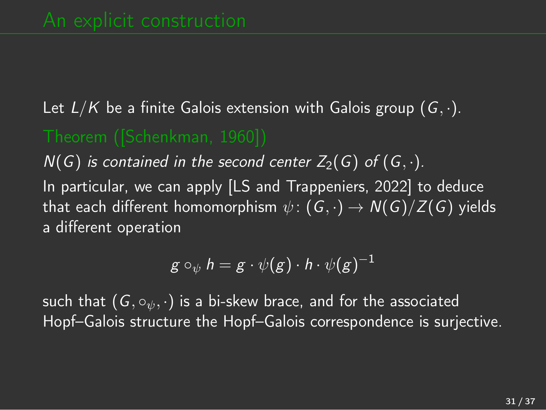# Let *L/K* be a finite Galois extension with Galois group (*G, ·*).

 $N(G)$  *is contained in the second center*  $Z_2(G)$  *of*  $(G, \cdot)$ *.* 

In particular, we can apply [LS and [Trappeniers,](#page-35-3) 2022] to deduce that each different homomorphism  $\psi$ :  $(G, \cdot) \rightarrow N(G)/Z(G)$  yields a different operation

$$
g\circ_{\psi}h=g\cdot\psi(g)\cdot h\cdot\psi(g)^{-1}
$$

such that  $(G, \circ_{\psi}, \cdot)$  is a bi-skew brace, and for the associated Hopf–Galois structure the Hopf–Galois correspondence is surjective.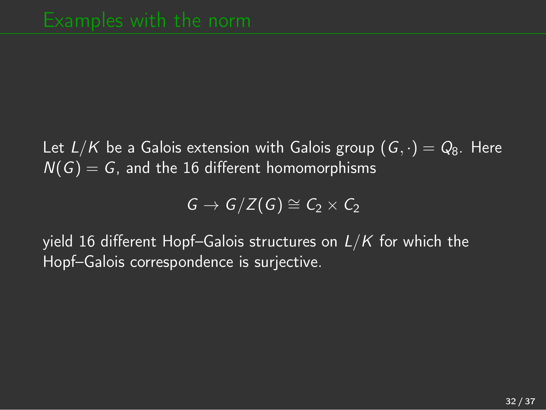Let  $L/K$  be a Galois extension with Galois group  $(G, \cdot) = Q_8$ . Here  $N(G) = G$ , and the 16 different homomorphisms

$$
G \to G/Z(G) \cong C_2 \times C_2
$$

yield 16 different Hopf–Galois structures on *L/K* for which the Hopf–Galois correspondence is surjective.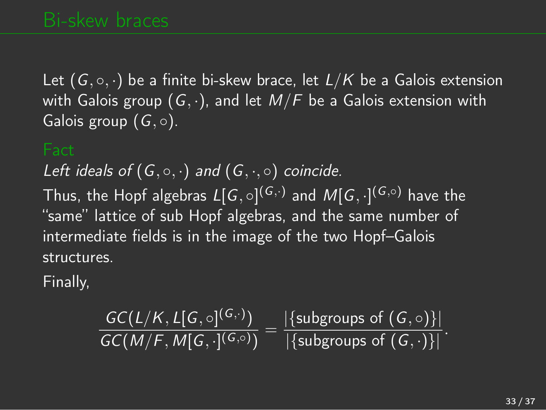Let  $(G, \circ, \cdot)$  be a finite bi-skew brace, let  $L/K$  be a Galois extension with Galois group (*G, ·*), and let *M/F* be a Galois extension with Galois group (*G*, ◦).

*Left ideals of*  $(G, \circ, \cdot)$  *and*  $(G, \cdot, \circ)$  *coincide.* 

Thus, the Hopf algebras  $L[G, \circ]^{(G, \cdot)}$  and  $M[G, \cdot]^{(G, \circ)}$  have the "same" lattice of sub Hopf algebras, and the same number of intermediate fields is in the image of the two Hopf–Galois structures.

Finally,

$$
\frac{\mathsf{GC}(L/K,L[G,\circ]^{(G,\cdot)})}{\mathsf{GC}(M/F,M[G,\cdot]^{(G,\circ)})}=\frac{|\{\text{subgroups of }(G,\circ)\}|}{|\{\text{subgroups of }(G,\cdot)\}|}.
$$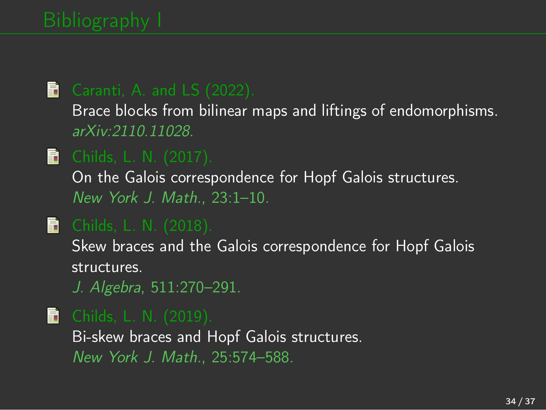### <span id="page-33-3"></span>Caranti, A. and LS (2022).

Brace blocks from bilinear maps and liftings of endomorphisms. *arXiv:2110.11028*.

### <span id="page-33-2"></span>**Childs, L. N. (2017).**

On the Galois correspondence for Hopf Galois structures. *New York J. Math.*, 23:1–10.

### <span id="page-33-1"></span>**Childs, L. N. (2018).**

Skew braces and the Galois correspondence for Hopf Galois structures.

*J. Algebra*, 511:270–291.

### <span id="page-33-0"></span>**Childs, L. N. (2019).**

Bi-skew braces and Hopf Galois structures. *New York J. Math.*, 25:574–588.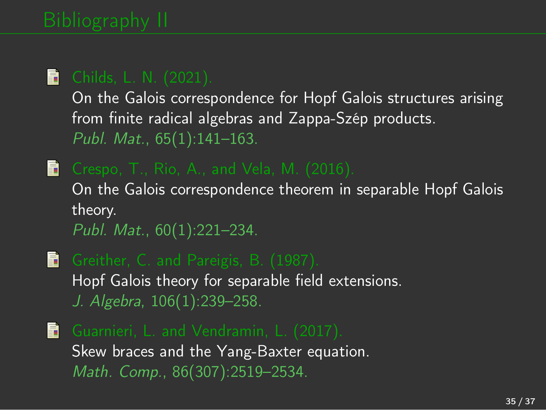### <span id="page-34-3"></span>**Childs, L. N. (2021).**

On the Galois correspondence for Hopf Galois structures arising from finite radical algebras and Zappa-Szép products. *Publ. Mat.*, 65(1):141–163.

- <span id="page-34-1"></span> $\mathbf{\mathbf{\mathbb{R}}}$  Crespo, T., Rio, A., and Vela, M. (2016). On the Galois correspondence theorem in separable Hopf Galois theory. *Publ. Mat.*, 60(1):221–234.
- <span id="page-34-0"></span>Greither, C. and Pareigis, B. (1987). Hopf Galois theory for separable field extensions. *J. Algebra*, 106(1):239–258.
- <span id="page-34-2"></span>**E** Guarnieri, L. and Vendramin, L. (2017). Skew braces and the Yang-Baxter equation. *Math. Comp.*, 86(307):2519–2534.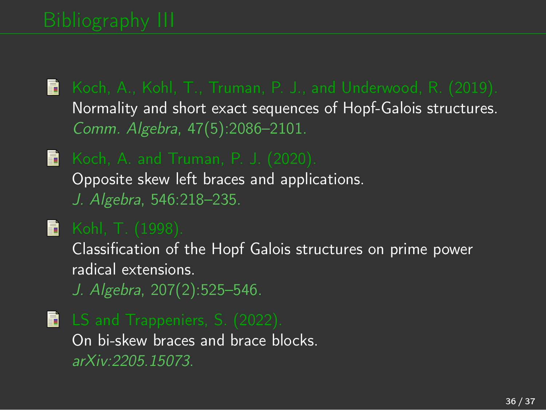- <span id="page-35-0"></span>Koch, A., Kohl, T., Truman, P. J., and Underwood, R. (2019). Normality and short exact sequences of Hopf-Galois structures. *Comm. Algebra*, 47(5):2086–2101.
- <span id="page-35-1"></span>Koch, A. and Truman, P. J. (2020). Opposite skew left braces and applications. *J. Algebra*, 546:218–235.
- <span id="page-35-2"></span> $\blacksquare$  Kohl, T. (1998).

Classification of the Hopf Galois structures on prime power radical extensions.

*J. Algebra*, 207(2):525–546.

<span id="page-35-3"></span>**E** LS and Trappeniers, S. (2022). On bi-skew braces and brace blocks. *arXiv:2205.15073*.